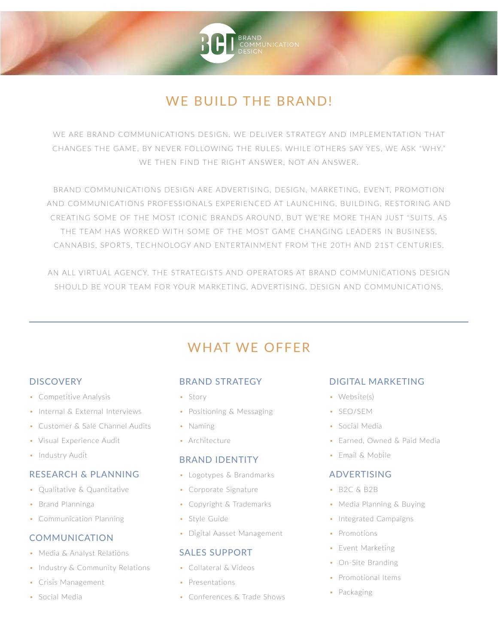# **WE BUILD THE BRAND!**

WE ARE BRAND COMMUNICATIONS DESIGN. WE DELIVER STRATEGY AND IMPLEMENTATION THAT CHANGES THE GAME. BY NEVER FOLLOWING THE RULES, WHILE OTHERS SAY YES, WE ASK "WHY." WE THEN FIND THE RIGHT ANSWER, NOT AN ANSWER.

BRAND COMMUNICATIONS DESIGN ARE ADVERTISING, DESIGN, MARKETING, EVENT, PROMOTION AND COMMUNICATIONS PROFESSIONALS EXPERIENCED AT LAUNCHING, BUILDING, RESTORING AND CREATING SOME OF THE MOST ICONIC BRANDS AROUND. BUT WE'RE MORE THAN JUST "SUITS, AS THE TEAM HAS WORKED WITH SOME OF THE MOST GAME CHANGING LEADERS IN BUSINESS. CANNABIS, SPORTS, TECHNOLOGY AND ENTERTAINMENT FROM THE 20TH AND 21ST CENTURIES.

AN ALL VIRTUAL AGENCY, THE STRATEGISTS AND OPERATORS AT BRAND COMMUNICATIONS DESIGN SHOULD BE YOUR TEAM FOR YOUR MARKETING, ADVERTISING, DESIGN AND COMMUNICATIONS.

## **WHAT WE OFFER**

## **DISCOVERY**

- Competitive Analysis
- Internal & External Interviews
- Customer & Sale Channel Audits
- Visual Experience Audit
- Industry Audit

#### **RESEARCH & PLANNING**

- Oualitative & Ouantitative
- Brand Planninga
- Communication Planning

#### **COMMUNICATION**

- Media & Analyst Relations
- Industry & Community Relations
- Crisis Management
- Social Media

## **BRAND STRATEGY**

- · Story
- Positioning & Messaging
- Naming
- · Architecture

#### **BRAND IDENTITY**

- Logotypes & Brandmarks
- Corporate Signature
- Copyright & Trademarks
- Style Guide
- Digital Aasset Management

## **SALES SUPPORT**

- Collateral & Videos
- Presentations
- Conferences & Trade Shows

## **DIGITAL MARKETING**

- Website(s)
- · SEO/SEM
- Social Media
- Farned Owned & Paid Media
- Email & Mobile

#### **ADVERTISING**

- B2C & B2B
- Media Planning & Buying
- Integrated Campaigns
- Promotions
- Event Marketing
- On-Site Branding
- Promotional Items
- Packaging